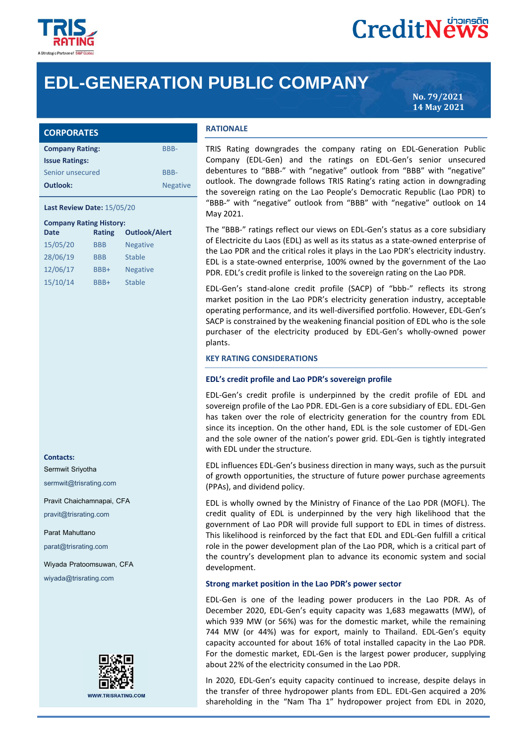

### **CreditNews**

### **EDL-GENERATION PUBLIC COMPANY**

**No. 79/2021 14 May 2021**

| <b>CORPORATES</b>      |                 |
|------------------------|-----------------|
| <b>Company Rating:</b> | BBB-            |
| <b>Issue Ratings:</b>  |                 |
| Senior unsecured       | BBB-            |
| Outlook:               | <b>Negative</b> |

**Last Review Date:** 15/05/20

#### **Company Rating History:**

| <b>Rating</b> | <b>Outlook/Alert</b> |  |  |  |
|---------------|----------------------|--|--|--|
| <b>BBB</b>    | <b>Negative</b>      |  |  |  |
| <b>BBB</b>    | <b>Stable</b>        |  |  |  |
| BBB+          | <b>Negative</b>      |  |  |  |
| BBB+          | <b>Stable</b>        |  |  |  |
|               |                      |  |  |  |

#### **Contacts:**

Sermwit Sriyotha

sermwit@trisrating.com

Pravit Chaichamnapai, CFA

pravit@trisrating.com

Parat Mahuttano

parat@trisrating.com

Wiyada Pratoomsuwan, CFA

wiyada@trisrating.com



#### **RATIONALE**

TRIS Rating downgrades the company rating on EDL-Generation Public Company (EDL-Gen) and the ratings on EDL-Gen's senior unsecured debentures to "BBB-" with "negative" outlook from "BBB" with "negative" outlook. The downgrade follows TRIS Rating's rating action in downgrading the sovereign rating on the Lao People's Democratic Republic (Lao PDR) to "BBB-" with "negative" outlook from "BBB" with "negative" outlook on 14 May 2021.

The "BBB-" ratings reflect our views on EDL-Gen's status as a core subsidiary of Electricite du Laos (EDL) as well as its status as a state-owned enterprise of the Lao PDR and the critical roles it plays in the Lao PDR's electricity industry. EDL is a state-owned enterprise, 100% owned by the government of the Lao PDR. EDL's credit profile is linked to the sovereign rating on the Lao PDR.

EDL-Gen's stand-alone credit profile (SACP) of "bbb-" reflects its strong market position in the Lao PDR's electricity generation industry, acceptable operating performance, and its well-diversified portfolio. However, EDL-Gen's SACP is constrained by the weakening financial position of EDL who is the sole purchaser of the electricity produced by EDL-Gen's wholly-owned power plants.

#### **KEY RATING CONSIDERATIONS**

#### **EDL's credit profile and Lao PDR's sovereign profile**

EDL-Gen's credit profile is underpinned by the credit profile of EDL and sovereign profile of the Lao PDR. EDL-Gen is a core subsidiary of EDL. EDL-Gen has taken over the role of electricity generation for the country from EDL since its inception. On the other hand, EDL is the sole customer of EDL-Gen and the sole owner of the nation's power grid. EDL-Gen is tightly integrated with FDL under the structure.

EDL influences EDL-Gen's business direction in many ways, such as the pursuit of growth opportunities, the structure of future power purchase agreements (PPAs), and dividend policy.

EDL is wholly owned by the Ministry of Finance of the Lao PDR (MOFL). The credit quality of EDL is underpinned by the very high likelihood that the government of Lao PDR will provide full support to EDL in times of distress. This likelihood is reinforced by the fact that EDL and EDL-Gen fulfill a critical role in the power development plan of the Lao PDR, which is a critical part of the country's development plan to advance its economic system and social development.

#### **Strong market position in the Lao PDR's power sector**

EDL-Gen is one of the leading power producers in the Lao PDR. As of December 2020, EDL-Gen's equity capacity was 1,683 megawatts (MW), of which 939 MW (or 56%) was for the domestic market, while the remaining 744 MW (or 44%) was for export, mainly to Thailand. EDL-Gen's equity capacity accounted for about 16% of total installed capacity in the Lao PDR. For the domestic market, EDL-Gen is the largest power producer, supplying about 22% of the electricity consumed in the Lao PDR.

In 2020, EDL-Gen's equity capacity continued to increase, despite delays in the transfer of three hydropower plants from EDL. EDL-Gen acquired a 20% shareholding in the "Nam Tha 1" hydropower project from EDL in 2020,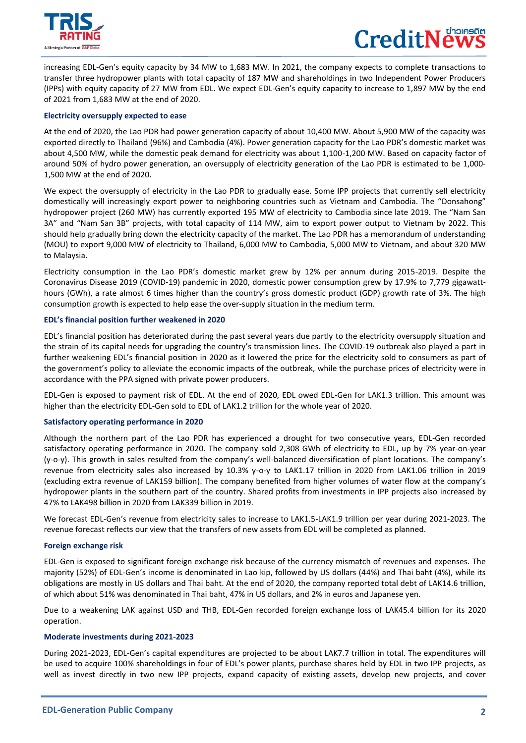

# CreditNe

increasing EDL-Gen's equity capacity by 34 MW to 1,683 MW. In 2021, the company expects to complete transactions to transfer three hydropower plants with total capacity of 187 MW and shareholdings in two Independent Power Producers (IPPs) with equity capacity of 27 MW from EDL. We expect EDL-Gen's equity capacity to increase to 1,897 MW by the end of 2021 from 1,683 MW at the end of 2020.

#### **Electricity oversupply expected to ease**

At the end of 2020, the Lao PDR had power generation capacity of about 10,400 MW. About 5,900 MW of the capacity was exported directly to Thailand (96%) and Cambodia (4%). Power generation capacity for the Lao PDR's domestic market was about 4,500 MW, while the domestic peak demand for electricity was about 1,100-1,200 MW. Based on capacity factor of around 50% of hydro power generation, an oversupply of electricity generation of the Lao PDR is estimated to be 1,000- 1,500 MW at the end of 2020.

We expect the oversupply of electricity in the Lao PDR to gradually ease. Some IPP projects that currently sell electricity domestically will increasingly export power to neighboring countries such as Vietnam and Cambodia. The "Donsahong" hydropower project (260 MW) has currently exported 195 MW of electricity to Cambodia since late 2019. The "Nam San 3A" and "Nam San 3B" projects, with total capacity of 114 MW, aim to export power output to Vietnam by 2022. This should help gradually bring down the electricity capacity of the market. The Lao PDR has a memorandum of understanding (MOU) to export 9,000 MW of electricity to Thailand, 6,000 MW to Cambodia, 5,000 MW to Vietnam, and about 320 MW to Malaysia.

Electricity consumption in the Lao PDR's domestic market grew by 12% per annum during 2015-2019. Despite the Coronavirus Disease 2019 (COVID-19) pandemic in 2020, domestic power consumption grew by 17.9% to 7,779 gigawatthours (GWh), a rate almost 6 times higher than the country's gross domestic product (GDP) growth rate of 3%. The high consumption growth is expected to help ease the over-supply situation in the medium term.

#### **EDL's financial position further weakened in 2020**

EDL's financial position has deteriorated during the past several years due partly to the electricity oversupply situation and the strain of its capital needs for upgrading the country's transmission lines. The COVID-19 outbreak also played a part in further weakening EDL's financial position in 2020 as it lowered the price for the electricity sold to consumers as part of the government's policy to alleviate the economic impacts of the outbreak, while the purchase prices of electricity were in accordance with the PPA signed with private power producers.

EDL-Gen is exposed to payment risk of EDL. At the end of 2020, EDL owed EDL-Gen for LAK1.3 trillion. This amount was higher than the electricity EDL-Gen sold to EDL of LAK1.2 trillion for the whole year of 2020.

#### **Satisfactory operating performance in 2020**

Although the northern part of the Lao PDR has experienced a drought for two consecutive years, EDL-Gen recorded satisfactory operating performance in 2020. The company sold 2,308 GWh of electricity to EDL, up by 7% year-on-year (y-o-y). This growth in sales resulted from the company's well-balanced diversification of plant locations. The company's revenue from electricity sales also increased by 10.3% y-o-y to LAK1.17 trillion in 2020 from LAK1.06 trillion in 2019 (excluding extra revenue of LAK159 billion). The company benefited from higher volumes of water flow at the company's hydropower plants in the southern part of the country. Shared profits from investments in IPP projects also increased by 47% to LAK498 billion in 2020 from LAK339 billion in 2019.

We forecast EDL-Gen's revenue from electricity sales to increase to LAK1.5-LAK1.9 trillion per year during 2021-2023. The revenue forecast reflects our view that the transfers of new assets from EDL will be completed as planned.

#### **Foreign exchange risk**

EDL-Gen is exposed to significant foreign exchange risk because of the currency mismatch of revenues and expenses. The majority (52%) of EDL-Gen's income is denominated in Lao kip, followed by US dollars (44%) and Thai baht (4%), while its obligations are mostly in US dollars and Thai baht. At the end of 2020, the company reported total debt of LAK14.6 trillion, of which about 51% was denominated in Thai baht, 47% in US dollars, and 2% in euros and Japanese yen.

Due to a weakening LAK against USD and THB, EDL-Gen recorded foreign exchange loss of LAK45.4 billion for its 2020 operation.

#### **Moderate investments during 2021-2023**

During 2021-2023, EDL-Gen's capital expenditures are projected to be about LAK7.7 trillion in total. The expenditures will be used to acquire 100% shareholdings in four of EDL's power plants, purchase shares held by EDL in two IPP projects, as well as invest directly in two new IPP projects, expand capacity of existing assets, develop new projects, and cover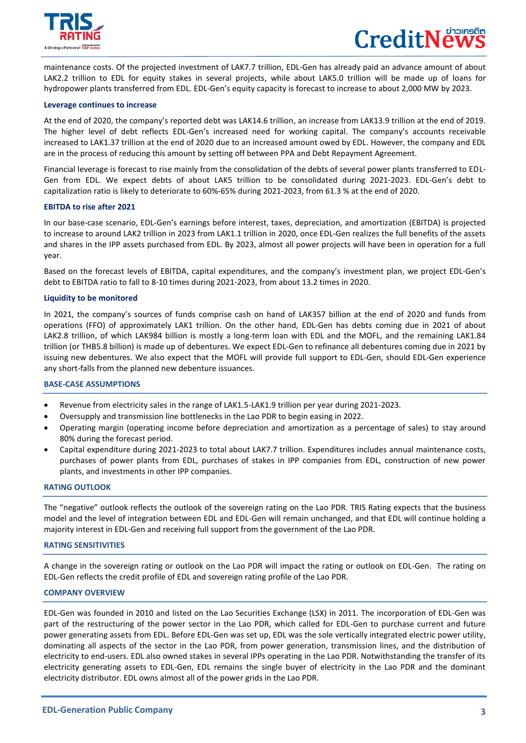

maintenance costs. Of the projected investment of LAK7.7 trillion, EDL-Gen has already paid an advance amount of about LAK2.2 trillion to EDL for equity stakes in several projects, while about LAK5.0 trillion will be made up of loans for hydropower plants transferred from EDL. EDL-Gen's equity capacity is forecast to increase to about 2,000 MW by 2023.

#### **Leverage continues to increase**

At the end of 2020, the company's reported debt was LAK14.6 trillion, an increase from LAK13.9 trillion at the end of 2019. The higher level of debt reflects EDL-Gen's increased need for working capital. The company's accounts receivable increased to LAK1.37 trillion at the end of 2020 due to an increased amount owed by EDL. However, the company and EDL are in the process of reducing this amount by setting off between PPA and Debt Repayment Agreement.

Financial leverage is forecast to rise mainly from the consolidation of the debts of several power plants transferred to EDL-Gen from EDL. We expect debts of about LAK5 trillion to be consolidated during 2021-2023. EDL-Gen's debt to capitalization ratio is likely to deteriorate to 60%-65% during 2021-2023, from 61.3 % at the end of 2020.

#### **EBITDA to rise after 2021**

In our base-case scenario, EDL-Gen's earnings before interest, taxes, depreciation, and amortization (EBITDA) is projected to increase to around LAK2 trillion in 2023 from LAK1.1 trillion in 2020, once EDL-Gen realizes the full benefits of the assets and shares in the IPP assets purchased from EDL. By 2023, almost all power projects will have been in operation for a full year.

Based on the forecast levels of EBITDA, capital expenditures, and the company's investment plan, we project EDL-Gen's debt to EBITDA ratio to fall to 8-10 times during 2021-2023, from about 13.2 times in 2020.

#### **Liquidity to be monitored**

In 2021, the company's sources of funds comprise cash on hand of LAK357 billion at the end of 2020 and funds from operations (FFO) of approximately LAK1 trillion. On the other hand, EDL-Gen has debts coming due in 2021 of about LAK2.8 trillion, of which LAK984 billion is mostly a long-term loan with EDL and the MOFL, and the remaining LAK1.84 trillion (or THB5.8 billion) is made up of debentures. We expect EDL-Gen to refinance all debentures coming due in 2021 by issuing new debentures. We also expect that the MOFL will provide full support to EDL-Gen, should EDL-Gen experience any short-falls from the planned new debenture issuances.

#### **BASE-CASE ASSUMPTIONS**

- Revenue from electricity sales in the range of LAK1.5-LAK1.9 trillion per year during 2021-2023.
- Oversupply and transmission line bottlenecks in the Lao PDR to begin easing in 2022.
- Operating margin (operating income before depreciation and amortization as a percentage of sales) to stay around 80% during the forecast period.
- Capital expenditure during 2021-2023 to total about LAK7.7 trillion. Expenditures includes annual maintenance costs, purchases of power plants from EDL, purchases of stakes in IPP companies from EDL, construction of new power plants, and investments in other IPP companies.

#### **RATING OUTLOOK**

The "negative" outlook reflects the outlook of the sovereign rating on the Lao PDR. TRIS Rating expects that the business model and the level of integration between EDL and EDL-Gen will remain unchanged, and that EDL will continue holding a majority interest in EDL-Gen and receiving full support from the government of the Lao PDR.

#### **RATING SENSITIVITIES**

A change in the sovereign rating or outlook on the Lao PDR will impact the rating or outlook on EDL-Gen. The rating on EDL-Gen reflects the credit profile of EDL and sovereign rating profile of the Lao PDR.

#### **COMPANY OVERVIEW**

I

EDL-Gen was founded in 2010 and listed on the Lao Securities Exchange (LSX) in 2011. The incorporation of EDL-Gen was part of the restructuring of the power sector in the Lao PDR, which called for EDL-Gen to purchase current and future power generating assets from EDL. Before EDL-Gen was set up, EDL was the sole vertically integrated electric power utility, dominating all aspects of the sector in the Lao PDR, from power generation, transmission lines, and the distribution of electricity to end-users. EDL also owned stakes in several IPPs operating in the Lao PDR. Notwithstanding the transfer of its electricity generating assets to EDL-Gen, EDL remains the single buyer of electricity in the Lao PDR and the dominant electricity distributor. EDL owns almost all of the power grids in the Lao PDR.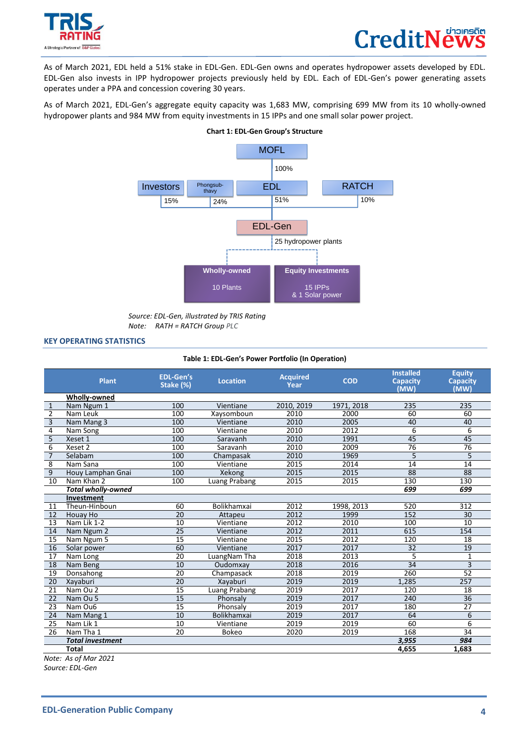



As of March 2021, EDL held a 51% stake in EDL-Gen. EDL-Gen owns and operates hydropower assets developed by EDL. EDL-Gen also invests in IPP hydropower projects previously held by EDL. Each of EDL-Gen's power generating assets operates under a PPA and concession covering 30 years.

As of March 2021, EDL-Gen's aggregate equity capacity was 1,683 MW, comprising 699 MW from its 10 wholly-owned hydropower plants and 984 MW from equity investments in 15 IPPs and one small solar power project.



**Chart 1: EDL-Gen Group's Structure**

#### **KEY OPERATING STATISTICS**

#### **Table 1: EDL-Gen's Power Portfolio (In Operation)**

|                 | <b>Plant</b>              | <b>EDL-Gen's</b><br>Stake (%) | <b>Location</b> | <b>Acquired</b><br>Year | <b>COD</b> | <b>Installed</b><br><b>Capacity</b><br>(MW) | <b>Equity</b><br><b>Capacity</b><br>(MW) |
|-----------------|---------------------------|-------------------------------|-----------------|-------------------------|------------|---------------------------------------------|------------------------------------------|
|                 | <b>Wholly-owned</b>       |                               |                 |                         |            |                                             |                                          |
| $\mathbf{1}$    | Nam Ngum 1                | 100                           | Vientiane       | 2010, 2019              | 1971, 2018 | 235                                         | 235                                      |
| $\overline{2}$  | Nam Leuk                  | 100                           | Xaysomboun      | 2010                    | 2000       | 60                                          | 60                                       |
| 3               | Nam Mang 3                | 100                           | Vientiane       | 2010                    | 2005       | 40                                          | 40                                       |
| $\overline{4}$  | Nam Song                  | 100                           | Vientiane       | 2010                    | 2012       | $\overline{6}$                              | $\overline{6}$                           |
| 5               | Xeset 1                   | 100                           | Saravanh        | 2010                    | 1991       | 45                                          | 45                                       |
| 6               | Xeset 2                   | 100                           | Saravanh        | 2010                    | 2009       | $\overline{76}$                             | 76                                       |
| $\overline{7}$  | Selabam                   | 100                           | Champasak       | 2010                    | 1969       | 5                                           | 5                                        |
| 8               | Nam Sana                  | 100                           | Vientiane       | 2015                    | 2014       | 14                                          | 14                                       |
| 9               | Houy Lamphan Gnai         | 100                           | Xekong          | 2015                    | 2015       | 88                                          | 88                                       |
| 10              | Nam Khan 2                | 100                           | Luang Prabang   | 2015                    | 2015       | 130                                         | 130                                      |
|                 | <b>Total wholly-owned</b> |                               |                 |                         |            | 699                                         | 699                                      |
|                 | Investment                |                               |                 |                         |            |                                             |                                          |
| 11              | Theun-Hinboun             | 60                            | Bolikhamxai     | 2012                    | 1998, 2013 | 520                                         | 312                                      |
| $\overline{12}$ | Houay Ho                  | 20                            | Attapeu         | 2012                    | 1999       | 152                                         | 30                                       |
| 13              | Nam Lik 1-2               | 10                            | Vientiane       | 2012                    | 2010       | 100                                         | 10                                       |
| 14              | Nam Ngum 2                | $\overline{25}$               | Vientiane       | 2012                    | 2011       | 615                                         | 154                                      |
| 15              | Nam Ngum 5                | 15                            | Vientiane       | 2015                    | 2012       | 120                                         | 18                                       |
| 16              | Solar power               | 60                            | Vientiane       | 2017                    | 2017       | 32                                          | 19                                       |
| 17              | Nam Long                  | 20                            | LuangNam Tha    | 2018                    | 2013       | 5                                           | 1                                        |
| 18              | Nam Beng                  | 10                            | Oudomxay        | 2018                    | 2016       | $\overline{34}$                             | $\overline{3}$                           |
| 19              | Donsahong                 | 20                            | Champasack      | 2018                    | 2019       | 260                                         | 52                                       |
| $\overline{20}$ | Xayaburi                  | $\overline{20}$               | Xayaburi        | 2019                    | 2019       | 1.285                                       | 257                                      |
| 21              | Nam Ou 2                  | 15                            | Luang Prabang   | 2019                    | 2017       | 120                                         | 18                                       |
| 22              | Nam Ou 5                  | 15                            | Phonsaly        | 2019                    | 2017       | 240                                         | 36                                       |
| 23              | Nam Ou6                   | $\overline{15}$               | Phonsalv        | 2019                    | 2017       | 180                                         | $\overline{27}$                          |
| 24              | Nam Mang 1                | $\overline{10}$               | Bolikhamxai     | 2019                    | 2017       | 64                                          | 6                                        |
| 25              | Nam Lik 1                 | $\overline{10}$               | Vientiane       | 2019                    | 2019       | 60                                          | 6                                        |
| 26              | Nam Tha 1                 | 20                            | <b>Bokeo</b>    | 2020                    | 2019       | 168                                         | 34                                       |
|                 | <b>Total investment</b>   |                               |                 |                         |            | 3,955                                       | 984                                      |
|                 | <b>Total</b>              |                               |                 |                         |            | 4.655                                       | 1.683                                    |

*Note: As of Mar 2021 Source: EDL-Gen*

*Source: EDL-Gen, illustrated by TRIS Rating Note: RATH = RATCH Group PLC*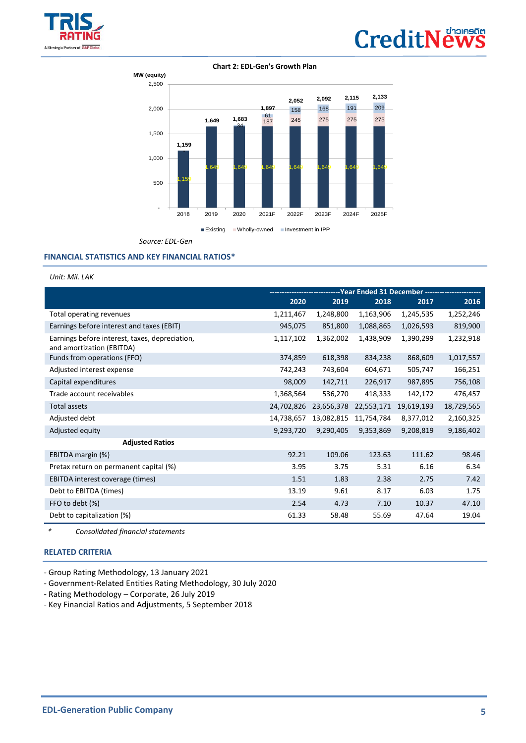

# **CreditNews**

#### **Chart 2: EDL-Gen's Growth Plan**



*Source: EDL-Gen*

#### **FINANCIAL STATISTICS AND KEY FINANCIAL RATIOS\***

*Unit: Mil. LAK*

|                                                                             | -----------------------------Year    Ended 31 December    ---------------- |            |            |            |            |
|-----------------------------------------------------------------------------|----------------------------------------------------------------------------|------------|------------|------------|------------|
|                                                                             | 2020                                                                       | 2019       | 2018       | 2017       | 2016       |
| Total operating revenues                                                    | 1,211,467                                                                  | 1,248,800  | 1,163,906  | 1,245,535  | 1,252,246  |
| Earnings before interest and taxes (EBIT)                                   | 945,075                                                                    | 851,800    | 1,088,865  | 1,026,593  | 819,900    |
| Earnings before interest, taxes, depreciation,<br>and amortization (EBITDA) | 1,117,102                                                                  | 1,362,002  | 1,438,909  | 1,390,299  | 1,232,918  |
| Funds from operations (FFO)                                                 | 374,859                                                                    | 618,398    | 834,238    | 868,609    | 1,017,557  |
| Adjusted interest expense                                                   | 742,243                                                                    | 743,604    | 604,671    | 505,747    | 166,251    |
| Capital expenditures                                                        | 98,009                                                                     | 142,711    | 226,917    | 987,895    | 756,108    |
| Trade account receivables                                                   | 1,368,564                                                                  | 536,270    | 418,333    | 142,172    | 476,457    |
| <b>Total assets</b>                                                         | 24,702,826                                                                 | 23,656,378 | 22,553,171 | 19,619,193 | 18,729,565 |
| Adjusted debt                                                               | 14,738,657                                                                 | 13,082,815 | 11,754,784 | 8,377,012  | 2,160,325  |
| Adjusted equity                                                             | 9,293,720                                                                  | 9,290,405  | 9,353,869  | 9,208,819  | 9,186,402  |
| <b>Adjusted Ratios</b>                                                      |                                                                            |            |            |            |            |
| EBITDA margin (%)                                                           | 92.21                                                                      | 109.06     | 123.63     | 111.62     | 98.46      |
| Pretax return on permanent capital (%)                                      | 3.95                                                                       | 3.75       | 5.31       | 6.16       | 6.34       |
| EBITDA interest coverage (times)                                            | 1.51                                                                       | 1.83       | 2.38       | 2.75       | 7.42       |
| Debt to EBITDA (times)                                                      | 13.19                                                                      | 9.61       | 8.17       | 6.03       | 1.75       |
| FFO to debt (%)                                                             | 2.54                                                                       | 4.73       | 7.10       | 10.37      | 47.10      |
| Debt to capitalization (%)                                                  | 61.33                                                                      | 58.48      | 55.69      | 47.64      | 19.04      |

*\* Consolidated financial statements*

#### **[RELATED CRITERIA](https://www.trisrating.com/rating-information/rating-criteria/)**

I

- Group Rating Methodology, 13 January 2021

- Government-Related Entities Rating Methodology, 30 July 2020

- Rating Methodology – Corporate, 26 July 2019

- Key Financial Ratios and Adjustments, 5 September 2018